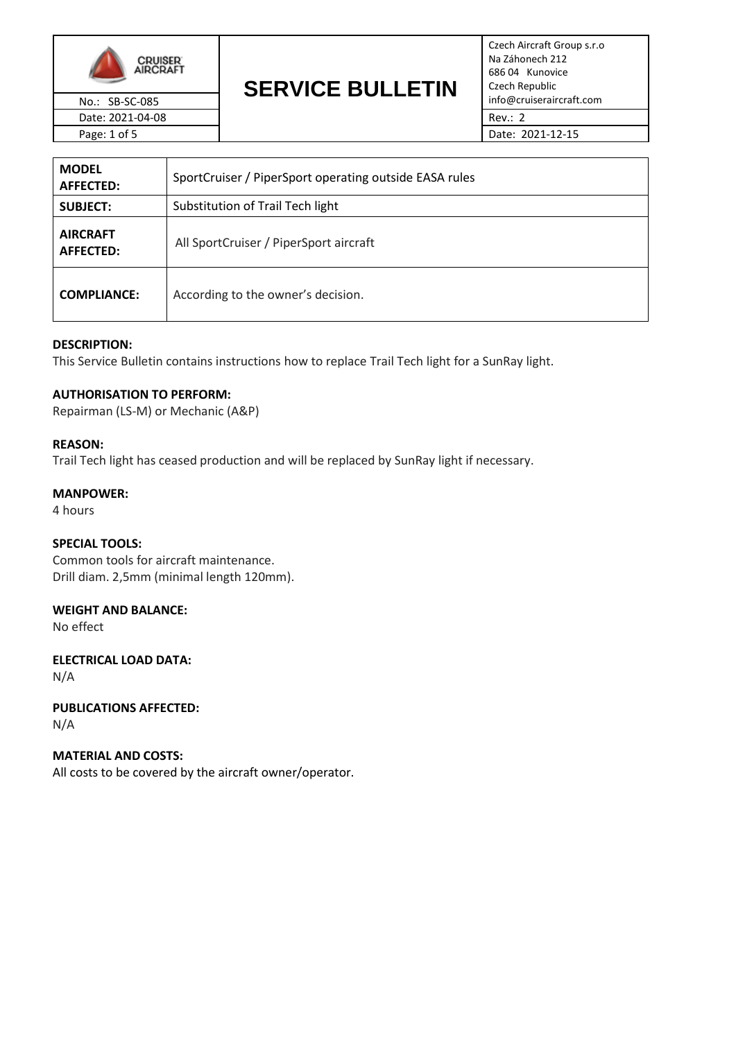

### **SERVICE BULLETIN** No.: SB-SC-085 **INSTERNATION:** No.: SB-SC-085

Czech Aircraft Group s.r.o Na Záhonech 212 686 04 Kunovice Czech Republic

| <b>MODEL</b><br><b>AFFECTED:</b> | SportCruiser / PiperSport operating outside EASA rules |  |  |
|----------------------------------|--------------------------------------------------------|--|--|
| <b>SUBJECT:</b>                  | Substitution of Trail Tech light                       |  |  |
| <b>AIRCRAFT</b><br>AFFECTED:     | All SportCruiser / PiperSport aircraft                 |  |  |
| <b>COMPLIANCE:</b>               | According to the owner's decision.                     |  |  |

### **DESCRIPTION:**

This Service Bulletin contains instructions how to replace Trail Tech light for a SunRay light.

### **AUTHORISATION TO PERFORM:**

Repairman (LS-M) or Mechanic (A&P)

#### **REASON:**

Trail Tech light has ceased production and will be replaced by SunRay light if necessary.

### **MANPOWER:**

4 hours

### **SPECIAL TOOLS:**

Common tools for aircraft maintenance. Drill diam. 2,5mm (minimal length 120mm).

## **WEIGHT AND BALANCE:**

No effect

**ELECTRICAL LOAD DATA:** N/A

**PUBLICATIONS AFFECTED:** N/A

## **MATERIAL AND COSTS:**

All costs to be covered by the aircraft owner/operator.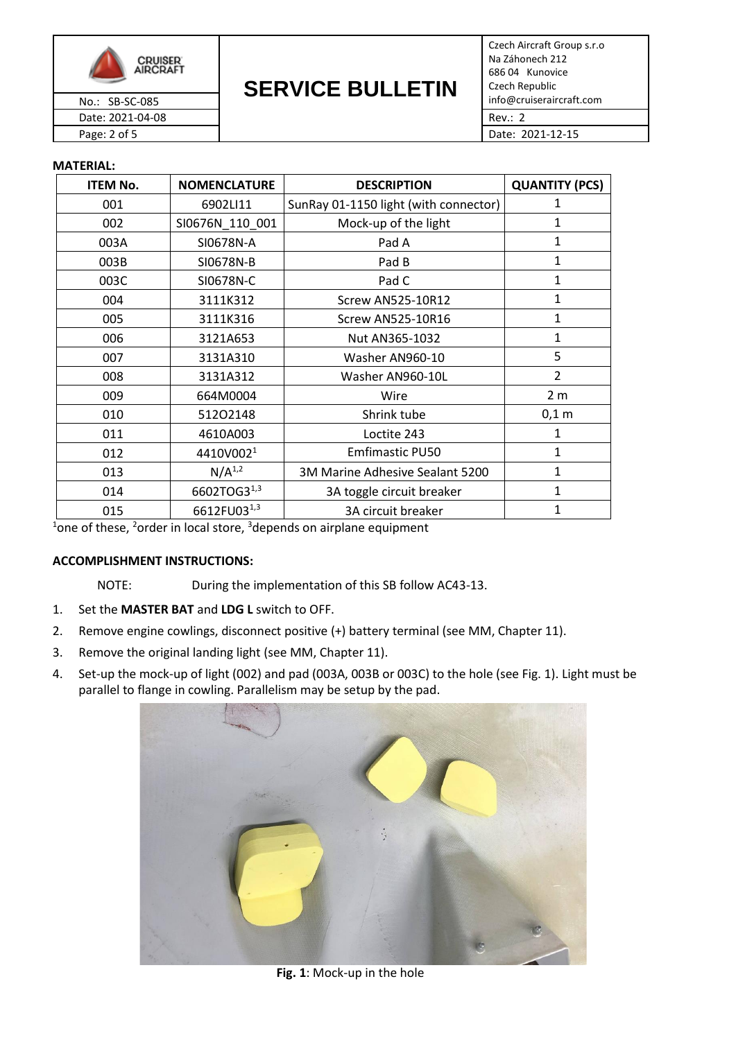

**SERVICE BULLETIN** No.: SB-SC-085 **INSTERNATION:** No.: SB-SC-085

Czech Aircraft Group s.r.o Na Záhonech 212 686 04 Kunovice Czech Republic Date: 2021-04-08 Rev.: 2

Page: 2 of 5 Date: 2021-12-15

### **MATERIAL:**

| <b>ITEM No.</b> | <b>NOMENCLATURE</b>   | <b>DESCRIPTION</b>                    | <b>QUANTITY (PCS)</b> |
|-----------------|-----------------------|---------------------------------------|-----------------------|
| 001             | 6902LI11              | SunRay 01-1150 light (with connector) | 1                     |
| 002             | SI0676N_110_001       | 1<br>Mock-up of the light             |                       |
| 003A            | SI0678N-A             | Pad A                                 | 1                     |
| 003B            | SI0678N-B             | Pad B                                 | $\mathbf{1}$          |
| 003C            | SI0678N-C             | Pad C                                 | $\mathbf{1}$          |
| 004             | 3111K312              | <b>Screw AN525-10R12</b>              | $\mathbf{1}$          |
| 005             | 3111K316              | <b>Screw AN525-10R16</b>              | $\mathbf{1}$          |
| 006             | 3121A653              | Nut AN365-1032                        | $\mathbf{1}$          |
| 007             | 3131A310              | Washer AN960-10                       | 5                     |
| 008             | 3131A312              | Washer AN960-10L                      | $\overline{2}$        |
| 009             | 664M0004              | Wire                                  | 2 <sub>m</sub>        |
| 010             | 51202148              | Shrink tube                           | $0,1$ m               |
| 011             | 4610A003              | Loctite 243                           | 1                     |
| 012             | 4410V002 <sup>1</sup> | <b>Emfimastic PU50</b>                | $\mathbf{1}$          |
| 013             | $N/A^{1,2}$           | 3M Marine Adhesive Sealant 5200       | $\mathbf{1}$          |
| 014             | 6602TOG31,3           | 3A toggle circuit breaker             | $\mathbf{1}$          |
| 015             | 6612FU031,3           | 3A circuit breaker                    | 1                     |

 $^{1}$ one of these, <sup>2</sup>order in local store,  $^{3}$ depends on airplane equipment

### **ACCOMPLISHMENT INSTRUCTIONS:**

- NOTE: During the implementation of this SB follow AC43-13.
- 1. Set the **MASTER BAT** and **LDG L** switch to OFF.
- 2. Remove engine cowlings, disconnect positive (+) battery terminal (see MM, Chapter 11).
- 3. Remove the original landing light (see MM, Chapter 11).
- 4. Set-up the mock-up of light (002) and pad (003A, 003B or 003C) to the hole (see Fig. 1). Light must be parallel to flange in cowling. Parallelism may be setup by the pad.



**Fig. 1**: Mock-up in the hole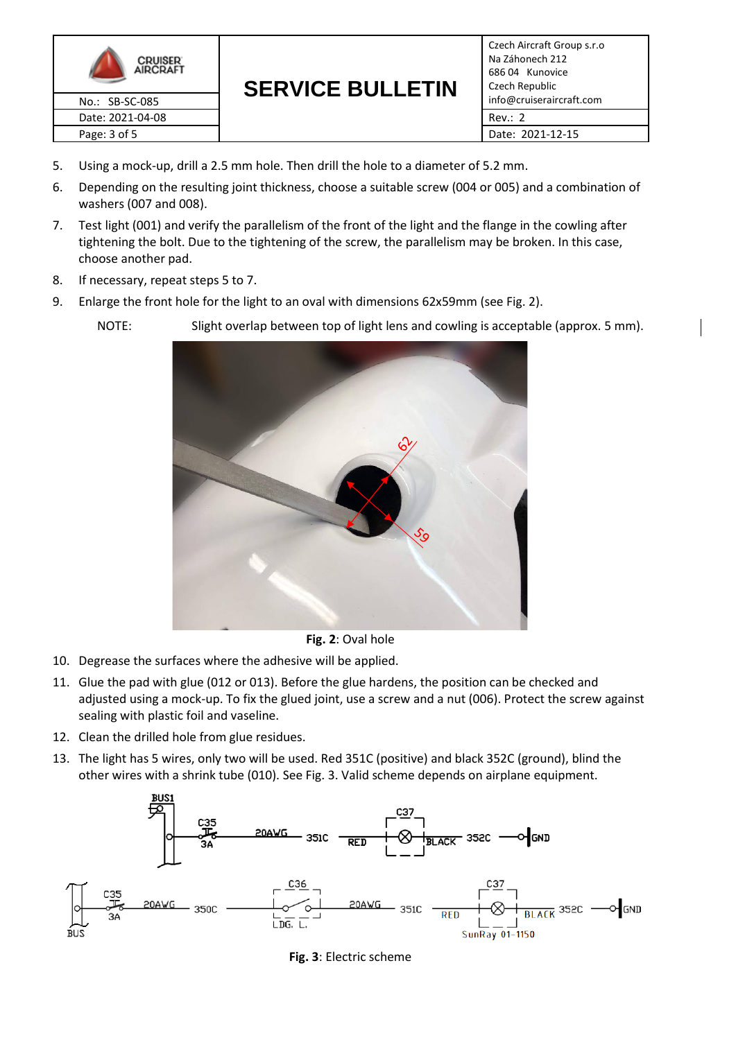

**SERVICE BULLETIN** No.: SB-SC-085 **Info ULIVICE DUCLETIII** info@cruiseraircraft.com

Czech Aircraft Group s.r.o Na Záhonech 212 686 04 Kunovice Czech Republic

- 5. Using a mock-up, drill a 2.5 mm hole. Then drill the hole to a diameter of 5.2 mm.
- 6. Depending on the resulting joint thickness, choose a suitable screw (004 or 005) and a combination of washers (007 and 008).
- 7. Test light (001) and verify the parallelism of the front of the light and the flange in the cowling after tightening the bolt. Due to the tightening of the screw, the parallelism may be broken. In this case, choose another pad.
- 8. If necessary, repeat steps 5 to 7.
- 9. Enlarge the front hole for the light to an oval with dimensions 62x59mm (see Fig. 2).

NOTE: Slight overlap between top of light lens and cowling is acceptable (approx. 5 mm).



**Fig. 2**: Oval hole

- 10. Degrease the surfaces where the adhesive will be applied.
- 11. Glue the pad with glue (012 or 013). Before the glue hardens, the position can be checked and adjusted using a mock-up. To fix the glued joint, use a screw and a nut (006). Protect the screw against sealing with plastic foil and vaseline.
- 12. Clean the drilled hole from glue residues.
- 13. The light has 5 wires, only two will be used. Red 351C (positive) and black 352C (ground), blind the other wires with a shrink tube (010). See Fig. 3. Valid scheme depends on airplane equipment.



**Fig. 3**: Electric scheme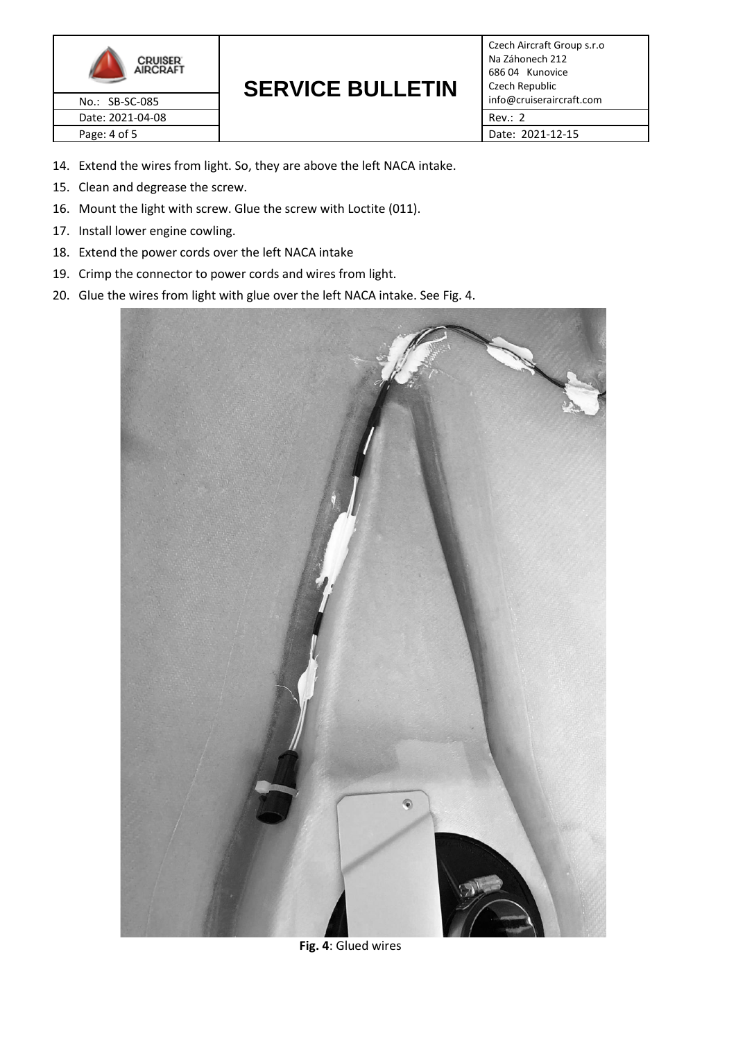

# **SERVICE BULLETIN**

Czech Aircraft Group s.r.o Na Záhonech 212 686 04 Kunovice Czech Republic No.: SB-SC-085 **INSTERNATION:** No.: SB-SC-085

- 14. Extend the wires from light. So, they are above the left NACA intake.
- 15. Clean and degrease the screw.
- 16. Mount the light with screw. Glue the screw with Loctite (011).
- 17. Install lower engine cowling.
- 18. Extend the power cords over the left NACA intake
- 19. Crimp the connector to power cords and wires from light.
- 20. Glue the wires from light with glue over the left NACA intake. See Fig. 4.



**Fig. 4**: Glued wires